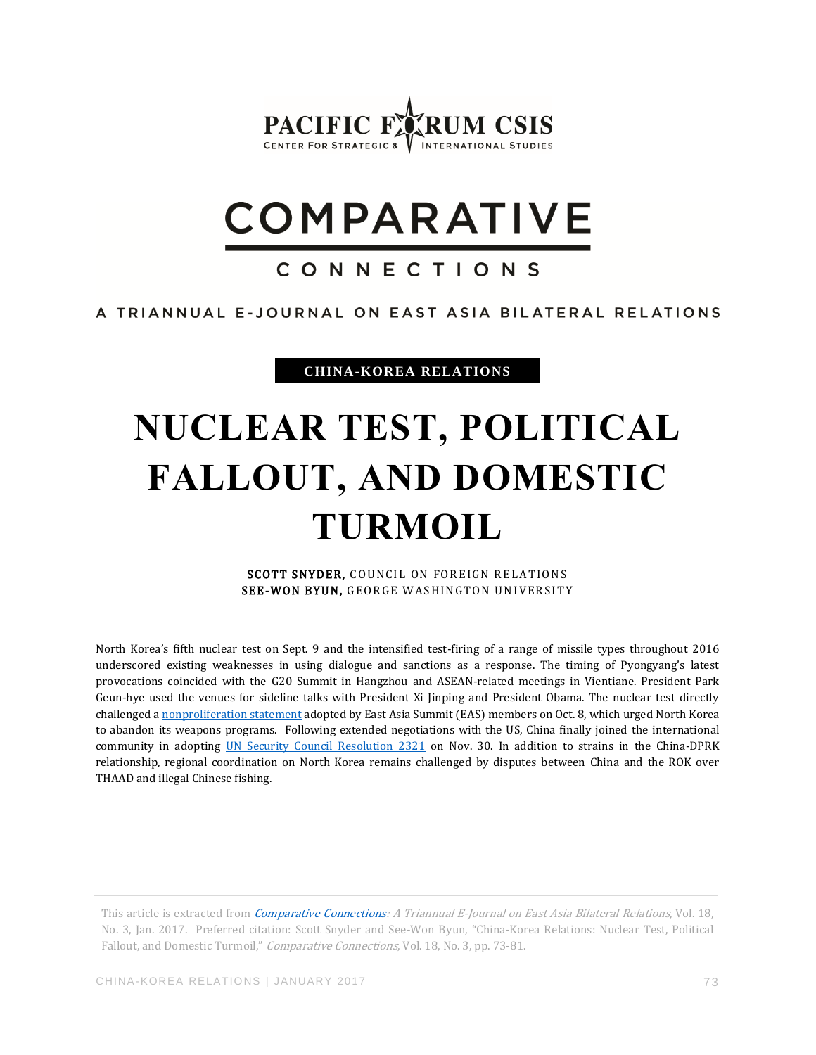

# **COMPARATIVE**

### CONNECTIONS

#### A TRIANNUAL E-JOURNAL ON EAST ASIA BILATERAL RELATIONS

**CHINA-KOREA RELATIONS**

## **NUCLEAR TEST, POLITICAL FALLOUT, AND DOMESTIC TURMOIL**

SCOTT SNYDER, COUNCIL ON FOREIGN RELATIONS SEE-WON BYUN, GEORGE WASHINGTON UNIVERSITY

North Korea's fifth nuclear test on Sept. 9 and the intensified test-firing of a range of missile types throughout 2016 underscored existing weaknesses in using dialogue and sanctions as a response. The timing of Pyongyang's latest provocations coincided with the G20 Summit in Hangzhou and ASEAN-related meetings in Vientiane. President Park Geun-hye used the venues for sideline talks with President Xi Jinping and President Obama. The nuclear test directly challenged a [nonproliferation statement](http://asean.org/storage/2016/09/EAS-Non-Proliferation-Statement-Final.pdf) adopted by East Asia Summit (EAS) members on Oct. 8, which urged North Korea to abandon its weapons programs. Following extended negotiations with the US, China finally joined the international community in adopting [UN Security Council Resolution 2321](https://www.un.org/press/en/2016/sc12603.doc.htm) on Nov. 30. In addition to strains in the China-DPRK relationship, regional coordination on North Korea remains challenged by disputes between China and the ROK over THAAD and illegal Chinese fishing.

This article is extracted from *[Comparative Connections:](https://www.cc.csis.org/) A Triannual E-Journal on East Asia Bilateral Relations*, Vol. 18, No. 3, Jan. 2017. Preferred citation: Scott Snyder and See-Won Byun, "China-Korea Relations: Nuclear Test, Political Fallout, and Domestic Turmoil," Comparative Connections, Vol. 18, No. 3, pp. 73-81.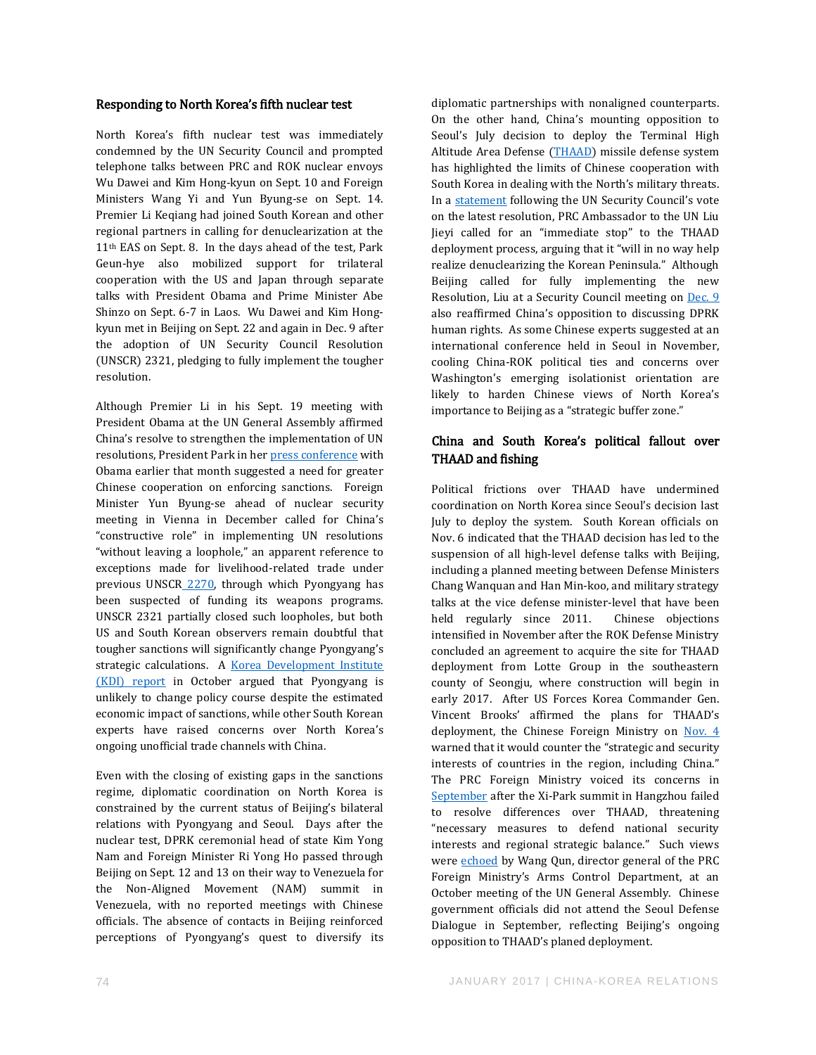#### Responding to North Korea's fifth nuclear test

North Korea's fifth nuclear test was immediately condemned by the UN Security Council and prompted telephone talks between PRC and ROK nuclear envoys Wu Dawei and Kim Hong-kyun on Sept. 10 and Foreign Ministers Wang Yi and Yun Byung-se on Sept. 14. Premier Li Keqiang had joined South Korean and other regional partners in calling for denuclearization at the 11th EAS on Sept. 8. In the days ahead of the test, Park Geun-hye also mobilized support for trilateral cooperation with the US and Japan through separate talks with President Obama and Prime Minister Abe Shinzo on Sept. 6-7 in Laos. Wu Dawei and Kim Hongkyun met in Beijing on Sept. 22 and again in Dec. 9 after the adoption of UN Security Council Resolution (UNSCR) 2321, pledging to fully implement the tougher resolution.

Although Premier Li in his Sept. 19 meeting with President Obama at the UN General Assembly affirmed China's resolve to strengthen the implementation of UN resolutions, President Park in he[r press conference](https://www.whitehouse.gov/the-press-office/2016/09/06/remarks-president-obama-and-president-park-republic-korea-after) with Obama earlier that month suggested a need for greater Chinese cooperation on enforcing sanctions. Foreign Minister Yun Byung-se ahead of nuclear security meeting in Vienna in December called for China's "constructive role" in implementing UN resolutions "without leaving a loophole," an apparent reference to exceptions made for livelihood-related trade under previous UNSCR\_[2270,](https://www.un.org/press/en/2016/sc12267.doc.htm) through which Pyongyang has been suspected of funding its weapons programs. UNSCR 2321 partially closed such loopholes, but both US and South Korean observers remain doubtful that tougher sanctions will significantly change Pyongyang's strategic calculations. A [Korea Development Institute](http://www.kdi.re.kr/kdi_eng/research/research_view.jsp?pub_no=14950&pg=2&pp=10&mcd=002001)  [\(KDI\) report](http://www.kdi.re.kr/kdi_eng/research/research_view.jsp?pub_no=14950&pg=2&pp=10&mcd=002001) in October argued that Pyongyang is unlikely to change policy course despite the estimated economic impact of sanctions, while other South Korean experts have raised concerns over North Korea's ongoing unofficial trade channels with China.

Even with the closing of existing gaps in the sanctions regime, diplomatic coordination on North Korea is constrained by the current status of Beijing's bilateral relations with Pyongyang and Seoul. Days after the nuclear test, DPRK ceremonial head of state Kim Yong Nam and Foreign Minister Ri Yong Ho passed through Beijing on Sept. 12 and 13 on their way to Venezuela for the Non-Aligned Movement (NAM) summit in Venezuela, with no reported meetings with Chinese officials. The absence of contacts in Beijing reinforced perceptions of Pyongyang's quest to diversify its

diplomatic partnerships with nonaligned counterparts. On the other hand, China's mounting opposition to Seoul's July decision to deploy the Terminal High Altitude Area Defense [\(THAAD\)](https://www.youtube.com/watch?v=S65JESDwUTU) missile defense system has highlighted the limits of Chinese cooperation with South Korea in dealing with the North's military threats. In a [statement](http://www.china-un.org/eng/gdxw/t1420805.htm) following the UN Security Council's vote on the latest resolution, PRC Ambassador to the UN Liu Jieyi called for an "immediate stop" to the THAAD deployment process, arguing that it "will in no way help realize denuclearizing the Korean Peninsula." Although Beijing called for fully implementing the new Resolution, Liu at a Security Council meeting on [Dec. 9](http://www.china-un.org/eng/dbtxx/ambliu/activities/t1424211.htm) also reaffirmed China's opposition to discussing DPRK human rights. As some Chinese experts suggested at an international conference held in Seoul in November, cooling China-ROK political ties and concerns over Washington's emerging isolationist orientation are likely to harden Chinese views of North Korea's importance to Beijing as a "strategic buffer zone."

#### China and South Korea's political fallout over THAAD and fishing

Political frictions over THAAD have undermined coordination on North Korea since Seoul's decision last July to deploy the system. South Korean officials on Nov. 6 indicated that the THAAD decision has led to the suspension of all high-level defense talks with Beijing, including a planned meeting between Defense Ministers Chang Wanquan and Han Min-koo, and military strategy talks at the vice defense minister-level that have been held regularly since 2011. Chinese objections intensified in November after the ROK Defense Ministry concluded an agreement to acquire the site for THAAD deployment from Lotte Group in the southeastern county of Seongju, where construction will begin in early 2017. After US Forces Korea Commander Gen. Vincent Brooks' affirmed the plans for THAAD's deployment, the Chinese Foreign Ministry on [Nov. 4](http://www.fmprc.gov.cn/mfa_eng/xwfw_665399/s2510_665401/t1412965.shtml) warned that it would counter the "strategic and security interests of countries in the region, including China." The PRC Foreign Ministry voiced its concerns in [September](http://www.fmprc.gov.cn/mfa_eng/xwfw_665399/s2510_665401/t1402904.shtml) after the Xi-Park summit in Hangzhou failed to resolve differences over THAAD, threatening "necessary measures to defend national security interests and regional strategic balance." Such views were **echoed** by Wang Qun, director general of the PRC Foreign Ministry's Arms Control Department, at an October meeting of the UN General Assembly. Chinese government officials did not attend the Seoul Defense Dialogue in September, reflecting Beijing's ongoing opposition to THAAD's planed deployment.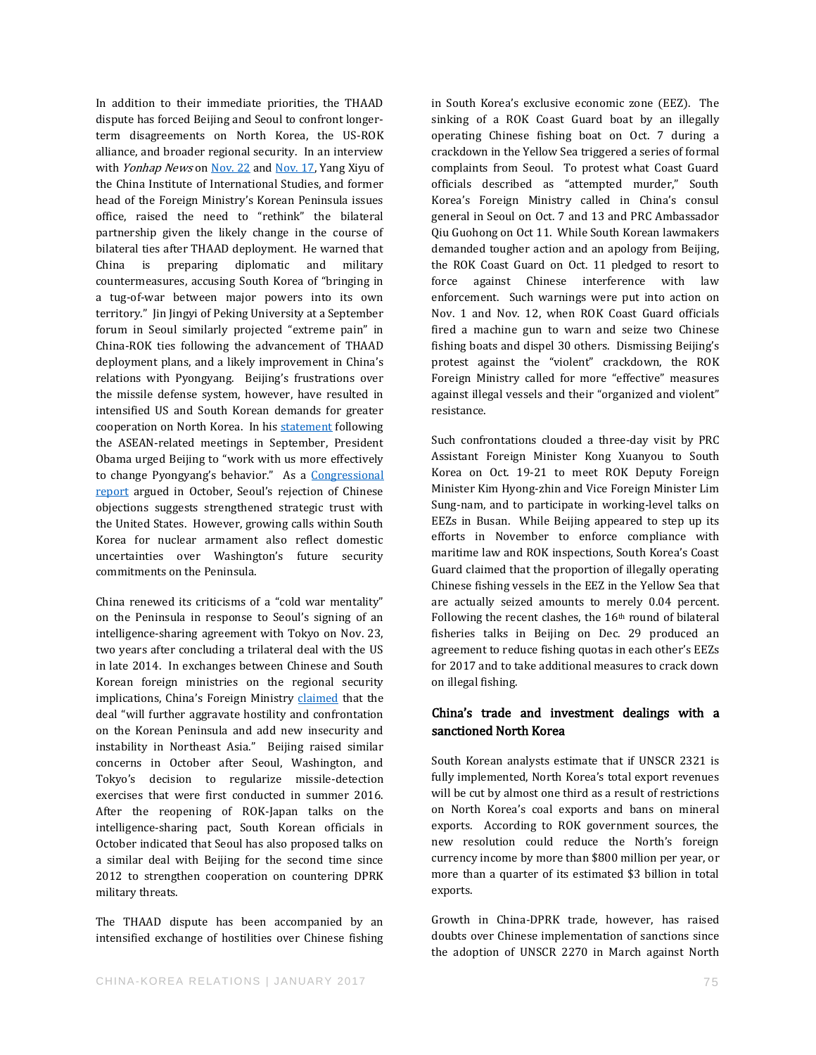In addition to their immediate priorities, the THAAD dispute has forced Beijing and Seoul to confront longerterm disagreements on North Korea, the US-ROK alliance, and broader regional security. In an interview with Yonhap News o[n Nov. 22](http://english.yonhapnews.co.kr/search1/2603000000.html?cid=AEN20161122002900315) an[d Nov. 17,](http://english.yonhapnews.co.kr/search1/2603000000.html?cid=AEN20161117005900315) Yang Xiyu of the China Institute of International Studies, and former head of the Foreign Ministry's Korean Peninsula issues office, raised the need to "rethink" the bilateral partnership given the likely change in the course of bilateral ties after THAAD deployment. He warned that China is preparing diplomatic and military countermeasures, accusing South Korea of "bringing in a tug-of-war between major powers into its own territory." Jin Jingyi of Peking University at a September forum in Seoul similarly projected "extreme pain" in China-ROK ties following the advancement of THAAD deployment plans, and a likely improvement in China's relations with Pyongyang. Beijing's frustrations over the missile defense system, however, have resulted in intensified US and South Korean demands for greater cooperation on North Korea. In his [statement](https://www.whitehouse.gov/the-press-office/2016/09/08/press-conference-president-obama-after-asean-summit) following the ASEAN-related meetings in September, President Obama urged Beijing to "work with us more effectively to change Pyongyang's behavior." As a Congressional [report](https://fas.org/sgp/crs/row/R41481.pdf) argued in October, Seoul's rejection of Chinese objections suggests strengthened strategic trust with the United States. However, growing calls within South Korea for nuclear armament also reflect domestic uncertainties over Washington's future security commitments on the Peninsula.

China renewed its criticisms of a "cold war mentality" on the Peninsula in response to Seoul's signing of an intelligence-sharing agreement with Tokyo on Nov. 23, two years after concluding a trilateral deal with the US in late 2014. In exchanges between Chinese and South Korean foreign ministries on the regional security implications, China's Foreign Ministry [claimed](http://english.chinamil.com.cn/view/2016-11/23/content_7374092.htm) that the deal "will further aggravate hostility and confrontation on the Korean Peninsula and add new insecurity and instability in Northeast Asia." Beijing raised similar concerns in October after Seoul, Washington, and Tokyo's decision to regularize missile-detection exercises that were first conducted in summer 2016. After the reopening of ROK-Japan talks on the intelligence-sharing pact, South Korean officials in October indicated that Seoul has also proposed talks on a similar deal with Beijing for the second time since 2012 to strengthen cooperation on countering DPRK military threats.

The THAAD dispute has been accompanied by an intensified exchange of hostilities over Chinese fishing in South Korea's exclusive economic zone (EEZ). The sinking of a ROK Coast Guard boat by an illegally operating Chinese fishing boat on Oct. 7 during a crackdown in the Yellow Sea triggered a series of formal complaints from Seoul. To protest what Coast Guard officials described as "attempted murder," South Korea's Foreign Ministry called in China's consul general in Seoul on Oct. 7 and 13 and PRC Ambassador Qiu Guohong on Oct 11. While South Korean lawmakers demanded tougher action and an apology from Beijing, the ROK Coast Guard on Oct. 11 pledged to resort to force against Chinese interference with law enforcement. Such warnings were put into action on Nov. 1 and Nov. 12, when ROK Coast Guard officials fired a machine gun to warn and seize two Chinese fishing boats and dispel 30 others. Dismissing Beijing's protest against the "violent" crackdown, the ROK Foreign Ministry called for more "effective" measures against illegal vessels and their "organized and violent" resistance.

Such confrontations clouded a three-day visit by PRC Assistant Foreign Minister Kong Xuanyou to South Korea on Oct. 19-21 to meet ROK Deputy Foreign Minister Kim Hyong-zhin and Vice Foreign Minister Lim Sung-nam, and to participate in working-level talks on EEZs in Busan. While Beijing appeared to step up its efforts in November to enforce compliance with maritime law and ROK inspections, South Korea's Coast Guard claimed that the proportion of illegally operating Chinese fishing vessels in the EEZ in the Yellow Sea that are actually seized amounts to merely 0.04 percent. Following the recent clashes, the  $16<sup>th</sup>$  round of bilateral fisheries talks in Beijing on Dec. 29 produced an agreement to reduce fishing quotas in each other's EEZs for 2017 and to take additional measures to crack down on illegal fishing.

#### China's trade and investment dealings with a sanctioned North Korea

South Korean analysts estimate that if UNSCR 2321 is fully implemented, North Korea's total export revenues will be cut by almost one third as a result of restrictions on North Korea's coal exports and bans on mineral exports. According to ROK government sources, the new resolution could reduce the North's foreign currency income by more than \$800 million per year, or more than a quarter of its estimated \$3 billion in total exports.

Growth in China-DPRK trade, however, has raised doubts over Chinese implementation of sanctions since the adoption of UNSCR 2270 in March against North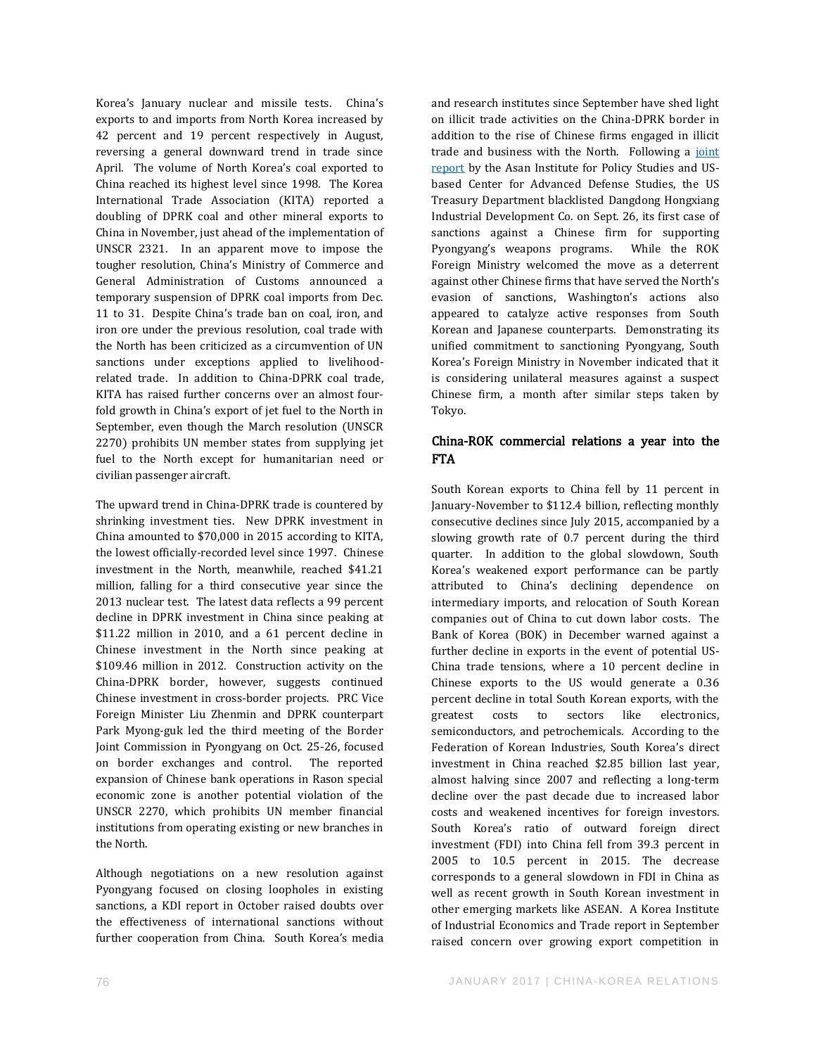Korea's January nuclear and missile tests. China's exports to and imports from North Korea increased by 42 percent and 19 percent respectively in August, reversing a general downward trend in trade since April. The volume of North Korea's coal exported to China reached its highest level since 1998. The Korea International Trade Association (KITA) reported a doubling of DPRK coal and other mineral exports to China in November, just ahead of the implementation of UNSCR 2321. In an apparent move to impose the tougher resolution, China's Ministry of Commerce and General Administration of Customs announced a temporary suspension of DPRK coal imports from Dec. 11 to 31. Despite China's trade ban on coal, iron, and iron ore under the previous resolution, coal trade with the North has been criticized as a circumvention of UN sanctions under exceptions applied to livelihoodrelated trade. In addition to China-DPRK coal trade, KITA has raised further concerns over an almost fourfold growth in China's export of jet fuel to the North in September, even though the March resolution (UNSCR 2270) prohibits UN member states from supplying jet fuel to the North except for humanitarian need or civilian passenger aircraft.

The upward trend in China-DPRK trade is countered by shrinking investment ties. New DPRK investment in China amounted to \$70,000 in 2015 according to KITA, the lowest officially-recorded level since 1997. Chinese investment in the North, meanwhile, reached \$41.21 million, falling for a third consecutive year since the 2013 nuclear test. The latest data reflects a 99 percent decline in DPRK investment in China since peaking at \$11.22 million in 2010, and a 61 percent decline in Chinese investment in the North since peaking at \$109.46 million in 2012. Construction activity on the China-DPRK border, however, suggests continued Chinese investment in cross-border projects. PRC Vice Foreign Minister Liu Zhenmin and DPRK counterpart Park Myong-guk led the third meeting of the Border Joint Commission in Pyongyang on Oct. 25-26, focused on border exchanges and control. The reported expansion of Chinese bank operations in Rason special economic zone is another potential violation of the UNSCR 2270, which prohibits UN member financial institutions from operating existing or new branches in the North.

Although negotiations on a new resolution against Pyongyang focused on closing loopholes in existing sanctions, a KDI report in October raised doubts over the effectiveness of international sanctions without further cooperation from China. South Korea's media and research institutes since September have shed light on illicit trade activities on the China-DPRK border in addition to the rise of Chinese firms engaged in illicit trade and business with the North. Following a joint [report](https://static1.squarespace.com/static/566ef8b4d8af107232d5358a/t/57dfe74acd0f68d629357306/1474291539480/In+China%27s+Shadow.pdf) by the Asan Institute for Policy Studies and USbased Center for Advanced Defense Studies, the US Treasury Department blacklisted Dangdong Hongxiang Industrial Development Co. on Sept. 26, its first case of sanctions against a Chinese firm for supporting Pyongyang's weapons programs. While the ROK Foreign Ministry welcomed the move as a deterrent against other Chinese firms that have served the North's evasion of sanctions, Washington's actions also appeared to catalyze active responses from South Korean and Japanese counterparts. Demonstrating its unified commitment to sanctioning Pyongyang, South Korea's Foreign Ministry in November indicated that it is considering unilateral measures against a suspect Chinese firm, a month after similar steps taken by Tokyo.

#### China-ROK commercial relations a year into the FTA

South Korean exports to China fell by 11 percent in January-November to \$112.4 billion, reflecting monthly consecutive declines since July 2015, accompanied by a slowing growth rate of 0.7 percent during the third quarter. In addition to the global slowdown, South Korea's weakened export performance can be partly attributed to China's declining dependence on intermediary imports, and relocation of South Korean companies out of China to cut down labor costs. The Bank of Korea (BOK) in December warned against a further decline in exports in the event of potential US-China trade tensions, where a 10 percent decline in Chinese exports to the US would generate a 0.36 percent decline in total South Korean exports, with the greatest costs to sectors like electronics, semiconductors, and petrochemicals. According to the Federation of Korean Industries, South Korea's direct investment in China reached \$2.85 billion last year, almost halving since 2007 and reflecting a long-term decline over the past decade due to increased labor costs and weakened incentives for foreign investors. South Korea's ratio of outward foreign direct investment (FDI) into China fell from 39.3 percent in 2005 to 10.5 percent in 2015. The decrease corresponds to a general slowdown in FDI in China as well as recent growth in South Korean investment in other emerging markets like ASEAN. A Korea Institute of Industrial Economics and Trade report in September raised concern over growing export competition in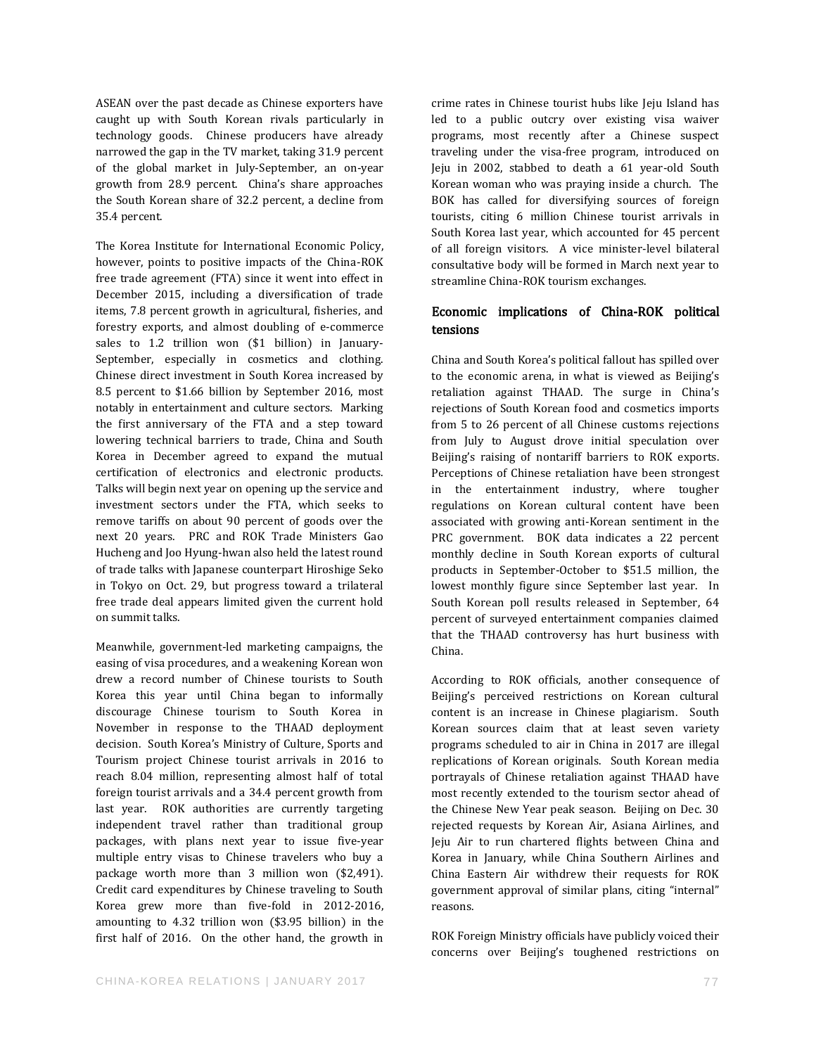ASEAN over the past decade as Chinese exporters have caught up with South Korean rivals particularly in technology goods. Chinese producers have already narrowed the gap in the TV market, taking 31.9 percent of the global market in July-September, an on-year growth from 28.9 percent. China's share approaches the South Korean share of 32.2 percent, a decline from 35.4 percent.

The Korea Institute for International Economic Policy, however, points to positive impacts of the China-ROK free trade agreement (FTA) since it went into effect in December 2015, including a diversification of trade items, 7.8 percent growth in agricultural, fisheries, and forestry exports, and almost doubling of e-commerce sales to 1.2 trillion won (\$1 billion) in January-September, especially in cosmetics and clothing. Chinese direct investment in South Korea increased by 8.5 percent to \$1.66 billion by September 2016, most notably in entertainment and culture sectors. Marking the first anniversary of the FTA and a step toward lowering technical barriers to trade, China and South Korea in December agreed to expand the mutual certification of electronics and electronic products. Talks will begin next year on opening up the service and investment sectors under the FTA, which seeks to remove tariffs on about 90 percent of goods over the next 20 years. PRC and ROK Trade Ministers Gao Hucheng and Joo Hyung-hwan also held the latest round of trade talks with Japanese counterpart Hiroshige Seko in Tokyo on Oct. 29, but progress toward a trilateral free trade deal appears limited given the current hold on summit talks.

Meanwhile, government-led marketing campaigns, the easing of visa procedures, and a weakening Korean won drew a record number of Chinese tourists to South Korea this year until China began to informally discourage Chinese tourism to South Korea in November in response to the THAAD deployment decision. South Korea's Ministry of Culture, Sports and Tourism project Chinese tourist arrivals in 2016 to reach 8.04 million, representing almost half of total foreign tourist arrivals and a 34.4 percent growth from last year. ROK authorities are currently targeting independent travel rather than traditional group packages, with plans next year to issue five-year multiple entry visas to Chinese travelers who buy a package worth more than 3 million won (\$2,491). Credit card expenditures by Chinese traveling to South Korea grew more than five-fold in 2012-2016, amounting to 4.32 trillion won (\$3.95 billion) in the first half of 2016. On the other hand, the growth in crime rates in Chinese tourist hubs like Jeju Island has led to a public outcry over existing visa waiver programs, most recently after a Chinese suspect traveling under the visa-free program, introduced on Jeju in 2002, stabbed to death a 61 year-old South Korean woman who was praying inside a church. The BOK has called for diversifying sources of foreign tourists, citing 6 million Chinese tourist arrivals in South Korea last year, which accounted for 45 percent of all foreign visitors. A vice minister-level bilateral consultative body will be formed in March next year to streamline China-ROK tourism exchanges.

#### Economic implications of China-ROK political tensions

China and South Korea's political fallout has spilled over to the economic arena, in what is viewed as Beijing's retaliation against THAAD. The surge in China's rejections of South Korean food and cosmetics imports from 5 to 26 percent of all Chinese customs rejections from July to August drove initial speculation over Beijing's raising of nontariff barriers to ROK exports. Perceptions of Chinese retaliation have been strongest in the entertainment industry, where tougher regulations on Korean cultural content have been associated with growing anti-Korean sentiment in the PRC government. BOK data indicates a 22 percent monthly decline in South Korean exports of cultural products in September-October to \$51.5 million, the lowest monthly figure since September last year. In South Korean poll results released in September, 64 percent of surveyed entertainment companies claimed that the THAAD controversy has hurt business with China.

According to ROK officials, another consequence of Beijing's perceived restrictions on Korean cultural content is an increase in Chinese plagiarism. South Korean sources claim that at least seven variety programs scheduled to air in China in 2017 are illegal replications of Korean originals. South Korean media portrayals of Chinese retaliation against THAAD have most recently extended to the tourism sector ahead of the Chinese New Year peak season. Beijing on Dec. 30 rejected requests by Korean Air, Asiana Airlines, and Jeju Air to run chartered flights between China and Korea in January, while China Southern Airlines and China Eastern Air withdrew their requests for ROK government approval of similar plans, citing "internal" reasons.

ROK Foreign Ministry officials have publicly voiced their concerns over Beijing's toughened restrictions on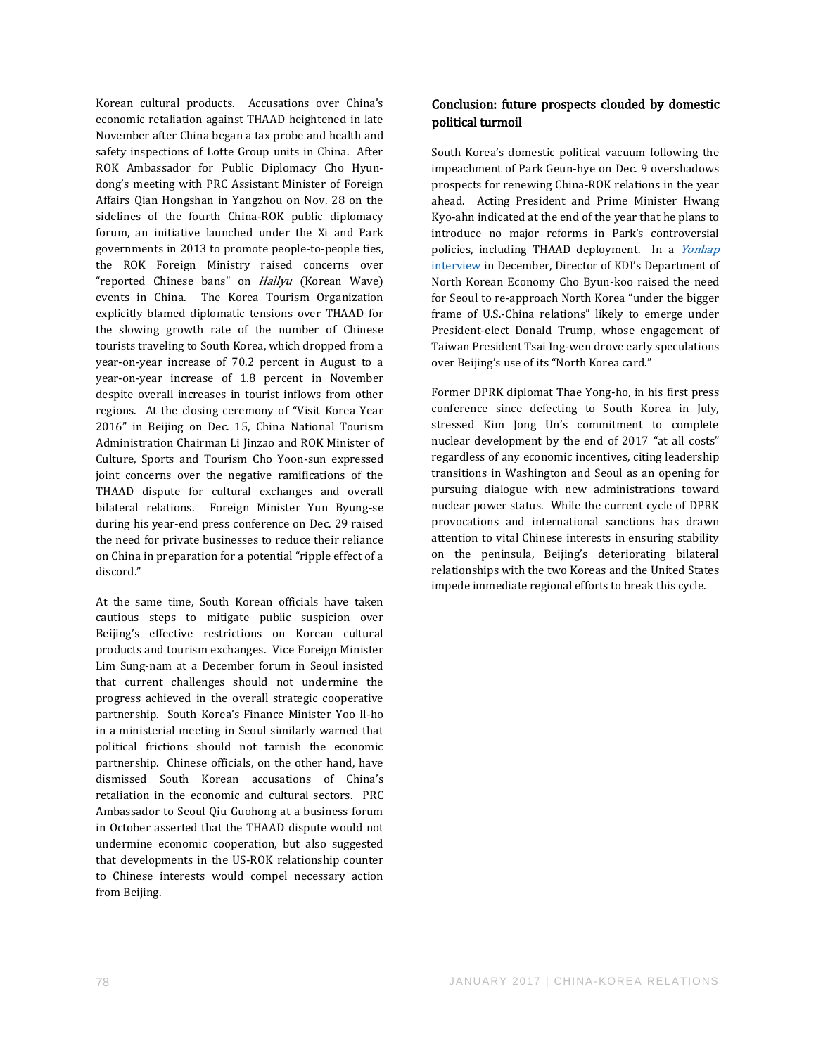Korean cultural products. Accusations over China's economic retaliation against THAAD heightened in late November after China began a tax probe and health and safety inspections of Lotte Group units in China. After ROK Ambassador for Public Diplomacy Cho Hyundong's meeting with PRC Assistant Minister of Foreign Affairs Qian Hongshan in Yangzhou on Nov. 28 on the sidelines of the fourth China-ROK public diplomacy forum, an initiative launched under the Xi and Park governments in 2013 to promote people-to-people ties, the ROK Foreign Ministry raised concerns over "reported Chinese bans" on Hallyu (Korean Wave) events in China. The Korea Tourism Organization explicitly blamed diplomatic tensions over THAAD for the slowing growth rate of the number of Chinese tourists traveling to South Korea, which dropped from a year-on-year increase of 70.2 percent in August to a year-on-year increase of 1.8 percent in November despite overall increases in tourist inflows from other regions. At the closing ceremony of "Visit Korea Year 2016" in Beijing on Dec. 15, China National Tourism Administration Chairman Li Jinzao and ROK Minister of Culture, Sports and Tourism Cho Yoon-sun expressed joint concerns over the negative ramifications of the THAAD dispute for cultural exchanges and overall bilateral relations. Foreign Minister Yun Byung-se during his year-end press conference on Dec. 29 raised the need for private businesses to reduce their reliance on China in preparation for a potential "ripple effect of a discord."

At the same time, South Korean officials have taken cautious steps to mitigate public suspicion over Beijing's effective restrictions on Korean cultural products and tourism exchanges. Vice Foreign Minister Lim Sung-nam at a December forum in Seoul insisted that current challenges should not undermine the progress achieved in the overall strategic cooperative partnership. South Korea's Finance Minister Yoo Il-ho in a ministerial meeting in Seoul similarly warned that political frictions should not tarnish the economic partnership. Chinese officials, on the other hand, have dismissed South Korean accusations of China's retaliation in the economic and cultural sectors. PRC Ambassador to Seoul Qiu Guohong at a business forum in October asserted that the THAAD dispute would not undermine economic cooperation, but also suggested that developments in the US-ROK relationship counter to Chinese interests would compel necessary action from Beijing.

#### Conclusion: future prospects clouded by domestic political turmoil

South Korea's domestic political vacuum following the impeachment of Park Geun-hye on Dec. 9 overshadows prospects for renewing China-ROK relations in the year ahead. Acting President and Prime Minister Hwang Kyo-ahn indicated at the end of the year that he plans to introduce no major reforms in Park's controversial policies, including THAAD deployment. In a [Yonhap](http://english.yonhapnews.co.kr/search1/2603000000.html?cid=AEN20161214009700320) [interview](http://english.yonhapnews.co.kr/search1/2603000000.html?cid=AEN20161214009700320) in December, Director of KDI's Department of North Korean Economy Cho Byun-koo raised the need for Seoul to re-approach North Korea "under the bigger frame of U.S.-China relations" likely to emerge under President-elect Donald Trump, whose engagement of Taiwan President Tsai Ing-wen drove early speculations over Beijing's use of its "North Korea card."

Former DPRK diplomat Thae Yong-ho, in his first press conference since defecting to South Korea in July, stressed Kim Jong Un's commitment to complete nuclear development by the end of 2017 "at all costs" regardless of any economic incentives, citing leadership transitions in Washington and Seoul as an opening for pursuing dialogue with new administrations toward nuclear power status. While the current cycle of DPRK provocations and international sanctions has drawn attention to vital Chinese interests in ensuring stability on the peninsula, Beijing's deteriorating bilateral relationships with the two Koreas and the United States impede immediate regional efforts to break this cycle.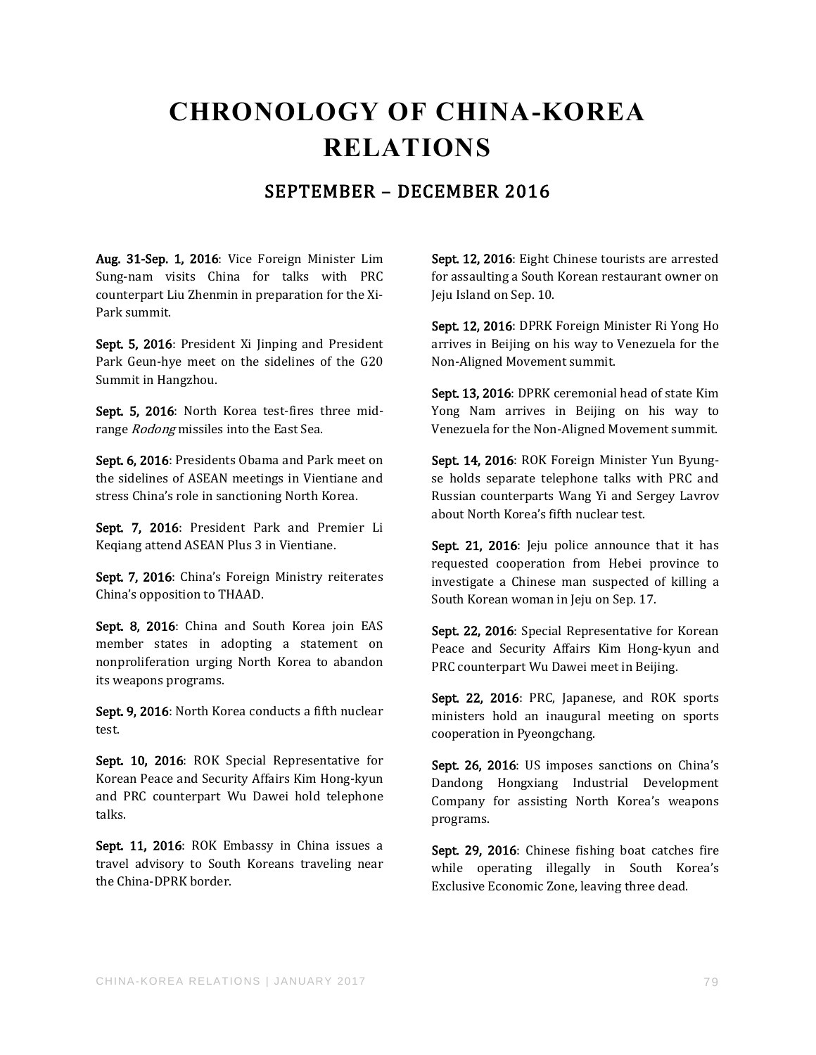## **CHRONOLOGY OF CHINA-KOREA RELATIONS**

#### SEPTEMBER – DECEMBER 2016

Aug. 31-Sep. 1, 2016: Vice Foreign Minister Lim Sung-nam visits China for talks with PRC counterpart Liu Zhenmin in preparation for the Xi-Park summit.

Sept. 5, 2016: President Xi Jinping and President Park Geun-hye meet on the sidelines of the G20 Summit in Hangzhou.

Sept. 5, 2016: North Korea test-fires three midrange Rodong missiles into the East Sea.

Sept. 6, 2016: Presidents Obama and Park meet on the sidelines of ASEAN meetings in Vientiane and stress China's role in sanctioning North Korea.

Sept. 7, 2016: President Park and Premier Li Keqiang attend ASEAN Plus 3 in Vientiane.

Sept. 7, 2016: China's Foreign Ministry reiterates China's opposition to THAAD.

Sept. 8, 2016: China and South Korea join EAS member states in adopting a statement on nonproliferation urging North Korea to abandon its weapons programs.

Sept. 9, 2016: North Korea conducts a fifth nuclear test.

Sept. 10, 2016: ROK Special Representative for Korean Peace and Security Affairs Kim Hong-kyun and PRC counterpart Wu Dawei hold telephone talks.

Sept. 11, 2016: ROK Embassy in China issues a travel advisory to South Koreans traveling near the China-DPRK border.

Sept. 12, 2016: Eight Chinese tourists are arrested for assaulting a South Korean restaurant owner on Jeju Island on Sep. 10.

Sept. 12, 2016: DPRK Foreign Minister Ri Yong Ho arrives in Beijing on his way to Venezuela for the Non-Aligned Movement summit.

Sept. 13, 2016: DPRK ceremonial head of state Kim Yong Nam arrives in Beijing on his way to Venezuela for the Non-Aligned Movement summit.

Sept. 14, 2016: ROK Foreign Minister Yun Byungse holds separate telephone talks with PRC and Russian counterparts Wang Yi and Sergey Lavrov about North Korea's fifth nuclear test.

Sept. 21, 2016: Jeju police announce that it has requested cooperation from Hebei province to investigate a Chinese man suspected of killing a South Korean woman in Jeju on Sep. 17.

Sept. 22, 2016: Special Representative for Korean Peace and Security Affairs Kim Hong-kyun and PRC counterpart Wu Dawei meet in Beijing.

Sept. 22, 2016: PRC, Japanese, and ROK sports ministers hold an inaugural meeting on sports cooperation in Pyeongchang.

Sept. 26, 2016: US imposes sanctions on China's Dandong Hongxiang Industrial Development Company for assisting North Korea's weapons programs.

Sept. 29, 2016: Chinese fishing boat catches fire while operating illegally in South Korea's Exclusive Economic Zone, leaving three dead.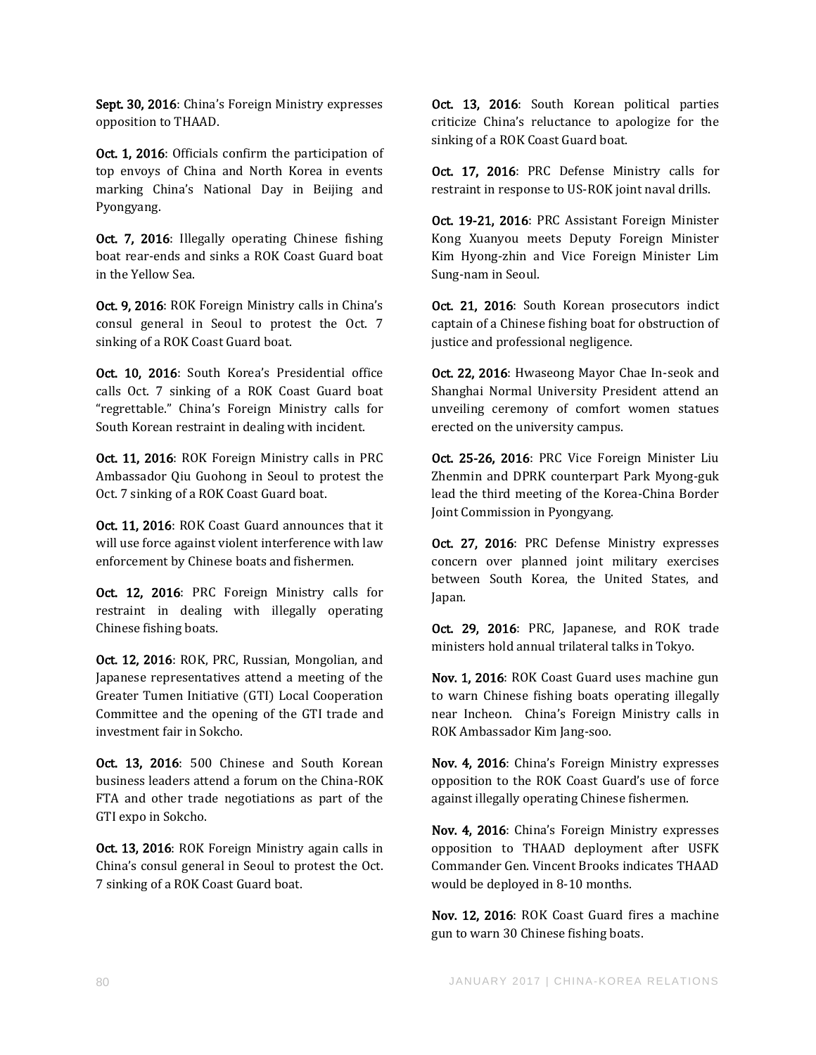Sept. 30, 2016: China's Foreign Ministry expresses opposition to THAAD.

Oct. 1, 2016: Officials confirm the participation of top envoys of China and North Korea in events marking China's National Day in Beijing and Pyongyang.

Oct. 7, 2016: Illegally operating Chinese fishing boat rear-ends and sinks a ROK Coast Guard boat in the Yellow Sea.

Oct. 9, 2016: ROK Foreign Ministry calls in China's consul general in Seoul to protest the Oct. 7 sinking of a ROK Coast Guard boat.

Oct. 10, 2016: South Korea's Presidential office calls Oct. 7 sinking of a ROK Coast Guard boat "regrettable." China's Foreign Ministry calls for South Korean restraint in dealing with incident.

Oct. 11, 2016: ROK Foreign Ministry calls in PRC Ambassador Qiu Guohong in Seoul to protest the Oct. 7 sinking of a ROK Coast Guard boat.

Oct. 11, 2016: ROK Coast Guard announces that it will use force against violent interference with law enforcement by Chinese boats and fishermen.

Oct. 12, 2016: PRC Foreign Ministry calls for restraint in dealing with illegally operating Chinese fishing boats.

Oct. 12, 2016: ROK, PRC, Russian, Mongolian, and Japanese representatives attend a meeting of the Greater Tumen Initiative (GTI) Local Cooperation Committee and the opening of the GTI trade and investment fair in Sokcho.

Oct. 13, 2016: 500 Chinese and South Korean business leaders attend a forum on the China-ROK FTA and other trade negotiations as part of the GTI expo in Sokcho.

Oct. 13, 2016: ROK Foreign Ministry again calls in China's consul general in Seoul to protest the Oct. 7 sinking of a ROK Coast Guard boat.

Oct. 13, 2016: South Korean political parties criticize China's reluctance to apologize for the sinking of a ROK Coast Guard boat.

Oct. 17, 2016: PRC Defense Ministry calls for restraint in response to US-ROK joint naval drills.

Oct. 19-21, 2016: PRC Assistant Foreign Minister Kong Xuanyou meets Deputy Foreign Minister Kim Hyong-zhin and Vice Foreign Minister Lim Sung-nam in Seoul.

Oct. 21, 2016: South Korean prosecutors indict captain of a Chinese fishing boat for obstruction of justice and professional negligence.

Oct. 22, 2016: Hwaseong Mayor Chae In-seok and Shanghai Normal University President attend an unveiling ceremony of comfort women statues erected on the university campus.

Oct. 25-26, 2016: PRC Vice Foreign Minister Liu Zhenmin and DPRK counterpart Park Myong-guk lead the third meeting of the Korea-China Border Joint Commission in Pyongyang.

Oct. 27, 2016: PRC Defense Ministry expresses concern over planned joint military exercises between South Korea, the United States, and Japan.

Oct. 29, 2016: PRC, Japanese, and ROK trade ministers hold annual trilateral talks in Tokyo.

Nov. 1, 2016: ROK Coast Guard uses machine gun to warn Chinese fishing boats operating illegally near Incheon. China's Foreign Ministry calls in ROK Ambassador Kim Jang-soo.

Nov. 4, 2016: China's Foreign Ministry expresses opposition to the ROK Coast Guard's use of force against illegally operating Chinese fishermen.

Nov. 4, 2016: China's Foreign Ministry expresses opposition to THAAD deployment after USFK Commander Gen. Vincent Brooks indicates THAAD would be deployed in 8-10 months.

Nov. 12, 2016: ROK Coast Guard fires a machine gun to warn 30 Chinese fishing boats.